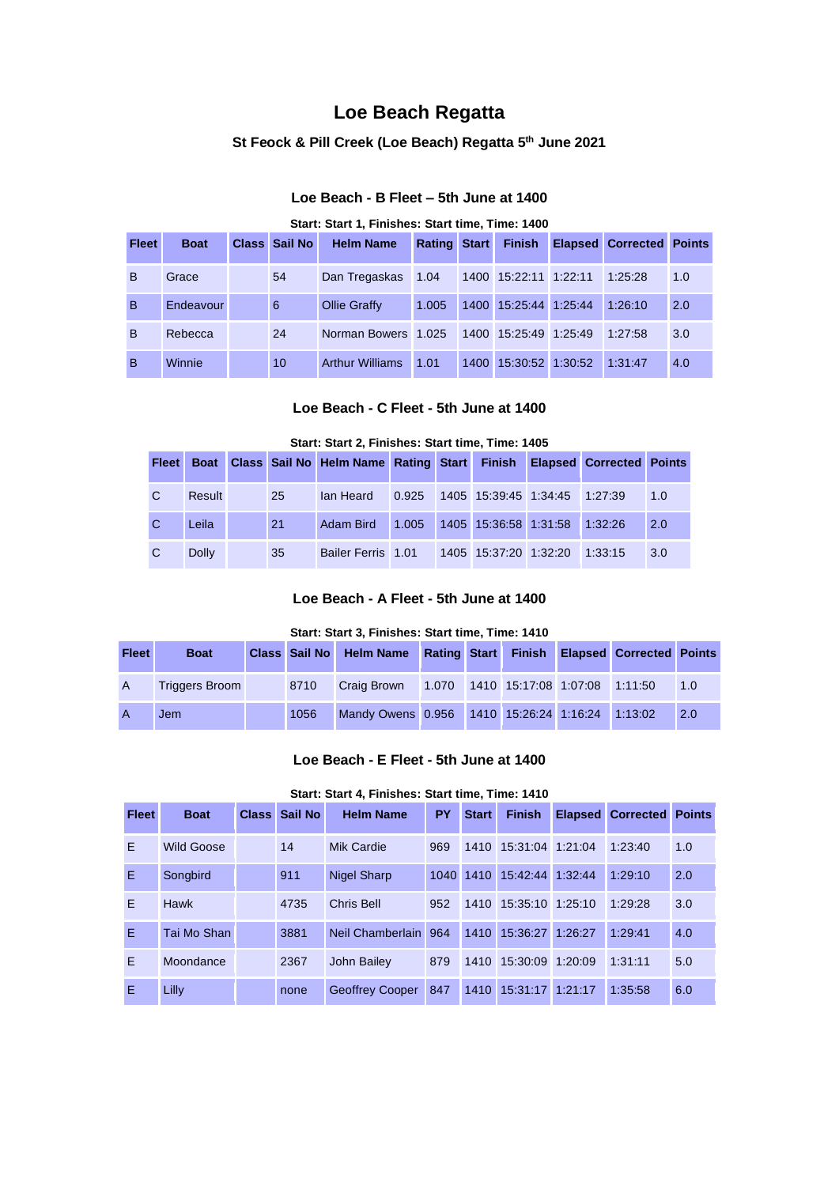## **Loe Beach Regatta**

#### **St Feock & Pill Creek (Loe Beach) Regatta 5 th June 2021**

### **Loe Beach - B Fleet – 5th June at 1400**

#### **Start: Start 1, Finishes: Start time, Time: 1400**

| <b>Fleet</b> | <b>Boat</b> | <b>Class Sail No I</b> | <b>Helm Name</b>       |       | <b>Rating Start Finish</b> | <b>Elapsed Corrected Points</b> |     |
|--------------|-------------|------------------------|------------------------|-------|----------------------------|---------------------------------|-----|
| <sub>B</sub> | Grace       | 54                     | Dan Tregaskas          | 1.04  | 1400 15:22:11 1:22:11      | 1:25:28                         | 1.0 |
| B            | Endeavour   | 6                      | Ollie Graffy           | 1.005 | 1400 15:25:44 1:25:44      | 1:26:10                         | 2.0 |
| <sub>B</sub> | Rebecca     | 24                     | Norman Bowers 1.025    |       | 1400 15:25:49 1:25:49      | 1:27:58                         | 3.0 |
| <sub>B</sub> | Winnie      | 10                     | <b>Arthur Williams</b> | 1.01  | 1400 15:30:52 1:30:52      | 1:31:47                         | 4.0 |

## **Loe Beach - C Fleet - 5th June at 1400**

# **Start: Start 2, Finishes: Start time, Time: 1405 Fleet Boat Class Sail No Helm Name Rating Start Finish Elapsed Corrected Points** C Result 25 Ian Heard 0.925 1405 15:39:45 1:34:45 1:27:39 1.0 C Leila 21 Adam Bird 1.005 1405 15:36:58 1:31:58 1:32:26 2.0 C Dolly 35 Bailer Ferris 1.01 1405 15:37:20 1:32:20 1:33:15 3.0

### **Loe Beach - A Fleet - 5th June at 1400**

#### **Start: Start 3, Finishes: Start time, Time: 1410**

| <b>Fleet</b>   | <b>Boat</b>           |      | Class Sail No Helm Name Rating Start Finish Elapsed Corrected Points |  |  |     |
|----------------|-----------------------|------|----------------------------------------------------------------------|--|--|-----|
| $\mathsf{A}$   | <b>Triggers Broom</b> | 8710 | Craig Brown 1.070 1410 15:17:08 1:07:08 1:11:50                      |  |  | 1.0 |
| $\overline{A}$ | Jem                   | 1056 | Mandy Owens 0.956 1410 15:26:24 1:16:24 1:13:02                      |  |  | 2.0 |

#### **Loe Beach - E Fleet - 5th June at 1400**

#### **Start: Start 4, Finishes: Start time, Time: 1410**

| <b>Fleet</b> | <b>Boat</b>       | Class Sail No | <b>Helm Name</b>     | PY  | <b>Start</b> | <b>Finish</b>              | <b>Elapsed Corrected Points</b> |     |
|--------------|-------------------|---------------|----------------------|-----|--------------|----------------------------|---------------------------------|-----|
| E            | <b>Wild Goose</b> | 14            | <b>Mik Cardie</b>    | 969 |              | 1410 15:31:04 1:21:04      | 1:23:40                         | 1.0 |
| E            | Songbird          | 911           | <b>Nigel Sharp</b>   |     |              | 1040 1410 15:42:44 1:32:44 | 1:29:10                         | 2.0 |
| E            | Hawk              | 4735          | Chris Bell           | 952 |              | 1410 15:35:10 1:25:10      | 1:29:28                         | 3.0 |
| F.           | Tai Mo Shan       | 3881          | Neil Chamberlain 964 |     |              | 1410 15:36:27 1:26:27      | 1:29:41                         | 4.0 |
| E            | Moondance         | 2367          | John Bailey          | 879 |              | 1410 15:30:09 1:20:09      | 1:31:11                         | 5.0 |
| E            | Lilly             | none          | Geoffrey Cooper      | 847 |              | 1410 15:31:17 1:21:17      | 1:35:58                         | 6.0 |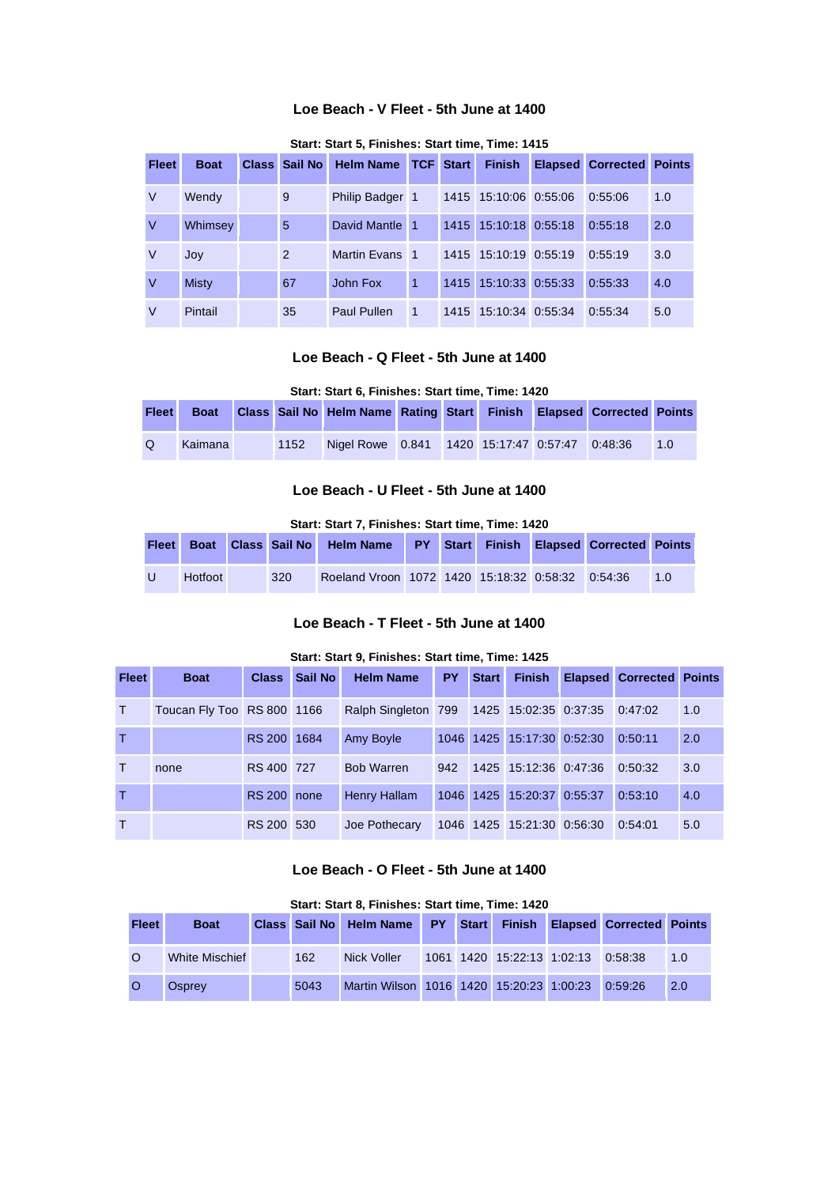## **Loe Beach - V Fleet - 5th June at 1400**

| <b>Fleet</b> | <b>Boat</b>  | Class Sail No | <b>Helm Name</b>   |   | <b>TCF Start</b> | <b>Finish</b>         | <b>Elapsed Corrected</b> | <b>Points</b> |
|--------------|--------------|---------------|--------------------|---|------------------|-----------------------|--------------------------|---------------|
| V            | Wendy        | 9             | Philip Badger 1    |   |                  | 1415 15:10:06 0:55:06 | 0:55:06                  | 1.0           |
| V            | Whimsey      | 5             | David Mantle 1     |   |                  | 1415 15:10:18 0:55:18 | 0:55:18                  | 2.0           |
| V            | Joy          | 2             | Martin Evans 1     |   |                  | 1415 15:10:19 0:55:19 | 0:55:19                  | 3.0           |
| V            | <b>Misty</b> | 67            | John Fox           | 1 |                  | 1415 15:10:33 0:55:33 | 0:55:33                  | 4.0           |
| V            | Pintail      | 35            | <b>Paul Pullen</b> | 1 |                  | 1415 15:10:34 0:55:34 | 0:55:34                  | 5.0           |

**Start: Start 5, Finishes: Start time, Time: 1415** 

## **Loe Beach - Q Fleet - 5th June at 1400**

#### **Start: Start 6, Finishes: Start time, Time: 1420**

| <b>Fleet</b> | <b>Boat</b> |      | <b>Class Sail No Helm Name Rating Start Finish</b> |  |  | <b>Elapsed Corrected Points</b> |                |
|--------------|-------------|------|----------------------------------------------------|--|--|---------------------------------|----------------|
| $\Omega$     | Kaimana     | 1152 | Nigel Rowe 0.841 1420 15:17:47 0:57:47 0:48:36     |  |  |                                 | 1 <sub>0</sub> |

## **Loe Beach - U Fleet - 5th June at 1400**

**Start: Start 7, Finishes: Start time, Time: 1420** 

|              |         |     | Fleet Boat Class Sail No Helm Name PY Start Finish Elapsed Corrected Points |  |  |                 |
|--------------|---------|-----|-----------------------------------------------------------------------------|--|--|-----------------|
| $\mathbf{U}$ | Hotfoot | 320 | Roeland Vroon   1072   1420   15:18:32   0:58:32   0:54:36                  |  |  | $\overline{10}$ |

## **Loe Beach - T Fleet - 5th June at 1400**

#### **Start: Start 9, Finishes: Start time, Time: 1425**

| <b>Fleet</b> | <b>Boat</b>                |             | <b>Class</b> Sail No | <b>Helm Name</b>                                  |     | <b>PY</b> Start | <b>Finish</b>                      | <b>Elapsed Corrected Points</b> |     |
|--------------|----------------------------|-------------|----------------------|---------------------------------------------------|-----|-----------------|------------------------------------|---------------------------------|-----|
| T.           | Toucan Fly Too RS 800 1166 |             |                      | Ralph Singleton 799 1425 15:02:35 0:37:35 0:47:02 |     |                 |                                    |                                 | 1.0 |
| T            |                            | RS 200 1684 |                      | Amy Boyle                                         |     |                 | 1046 1425 15:17:30 0:52:30         | 0:50:11                         | 2.0 |
| T.           | none                       | RS 400 727  |                      | <b>Bob Warren</b>                                 | 942 |                 | 1425 15:12:36 0:47:36 0:50:32      |                                 | 3.0 |
| T            |                            | RS 200 none |                      | Henry Hallam                                      |     |                 | 1046 1425 15:20:37 0:55:37         | 0:53:10                         | 4.0 |
| $\top$       |                            | RS 200 530  |                      | Joe Pothecary                                     |     |                 | 1046 1425 15:21:30 0:56:30 0:54:01 |                                 | 5.0 |

## **Loe Beach - O Fleet - 5th June at 1400**

#### **Start: Start 8, Finishes: Start time, Time: 1420**

| <b>Fleet</b> | <b>Boat</b>    |      | Class Sail No Helm Name PY Start Finish Elapsed Corrected Points |  |                                    |  |     |
|--------------|----------------|------|------------------------------------------------------------------|--|------------------------------------|--|-----|
| $\Omega$     | White Mischief | 162  | Nick Voller                                                      |  | 1061 1420 15:22:13 1:02:13 0:58:38 |  | 1.0 |
| $\circ$      | Osprev         | 5043 | Martin Wilson 1016 1420 15:20:23 1:00:23 0:59:26                 |  |                                    |  | 2.0 |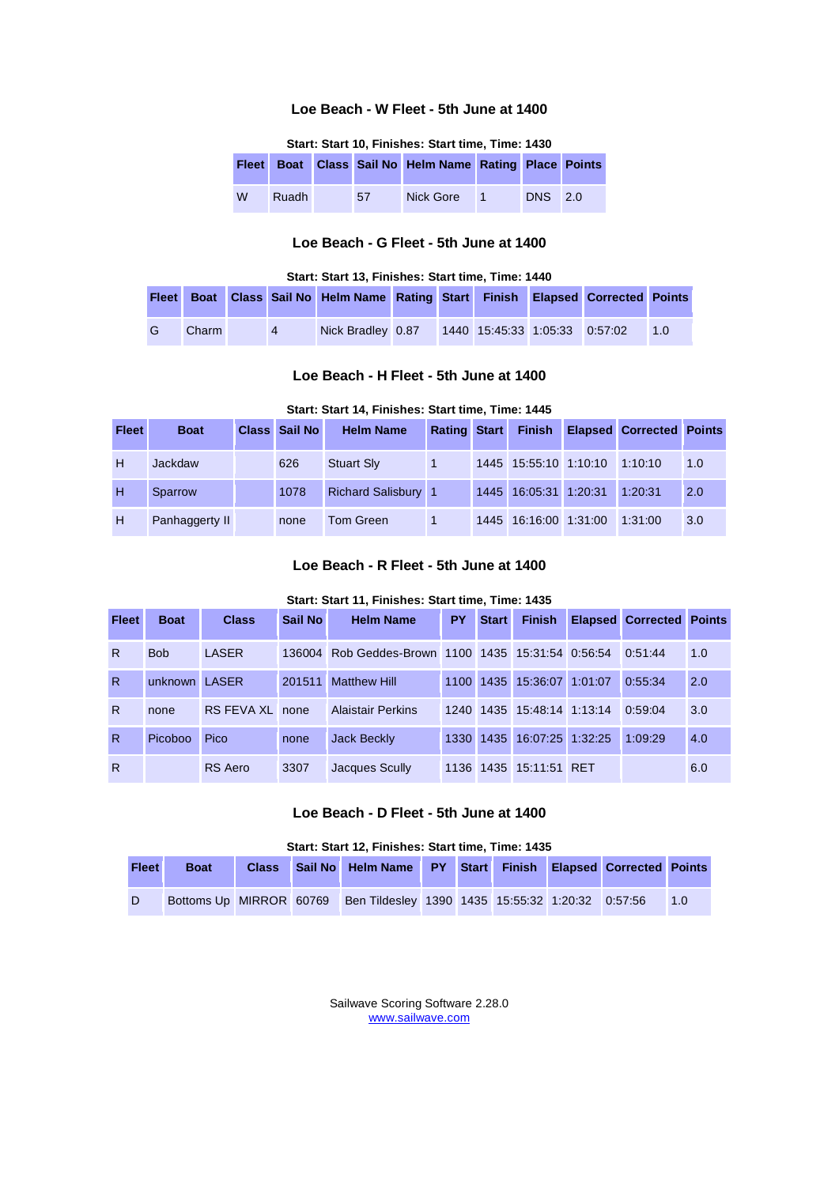## **Loe Beach - W Fleet - 5th June at 1400**

| Start: Start 10, Finishes: Start time, Time: 1430 |  |  |  |  |
|---------------------------------------------------|--|--|--|--|
|---------------------------------------------------|--|--|--|--|

|   |       |    | Fleet Boat Class Sail No Helm Name Rating Place Points |                |                |  |
|---|-------|----|--------------------------------------------------------|----------------|----------------|--|
| W | Ruadh | 57 | Nick Gore                                              | $\blacksquare$ | <b>DNS</b> 2.0 |  |

## **Loe Beach - G Fleet - 5th June at 1400**

#### **Start: Start 13, Finishes: Start time, Time: 1440**

|   |       |                | Fleet Boat Class Sail No Helm Name Rating Start Finish Elapsed Corrected Points |  |                               |  |    |
|---|-------|----------------|---------------------------------------------------------------------------------|--|-------------------------------|--|----|
| G | Charm | $\overline{4}$ | Nick Bradley 0.87                                                               |  | 1440 15:45:33 1:05:33 0:57:02 |  | 10 |

#### **Loe Beach - H Fleet - 5th June at 1400**

### **Start: Start 14, Finishes: Start time, Time: 1445**

| <b>Fleet</b> | <b>Boat</b>    | <b>Class Sail No</b> | <b>Helm Name</b>           |  |                               | Rating Start Finish Elapsed Corrected Points |     |
|--------------|----------------|----------------------|----------------------------|--|-------------------------------|----------------------------------------------|-----|
| H            | Jackdaw        | 626                  | <b>Stuart Sly</b>          |  | 1445 15:55:10 1:10:10 1:10:10 |                                              | 1.0 |
| H            | Sparrow        | 1078                 | <b>Richard Salisbury 1</b> |  | 1445 16:05:31 1:20:31         | 1:20:31                                      | 2.0 |
| H            | Panhaggerty II | none                 | Tom Green                  |  | 1445 16:16:00 1:31:00         | 1:31:00                                      | 3.0 |

#### **Loe Beach - R Fleet - 5th June at 1400**

#### **Start: Start 11, Finishes: Start time, Time: 1435**

| <b>Fleet</b> | <b>Boat</b>   | <b>Class</b>    | Sail No | <b>Helm Name</b>                                   | <b>PY</b> | <b>Start</b> | <b>Finish</b>              | <b>Elapsed Corrected Points</b> |     |
|--------------|---------------|-----------------|---------|----------------------------------------------------|-----------|--------------|----------------------------|---------------------------------|-----|
| R.           | <b>Bob</b>    | LASER           |         | 136004 Rob Geddes-Brown 1100 1435 15:31:54 0:56:54 |           |              |                            | 0:51:44                         | 1.0 |
| R.           | unknown LASER |                 | 201511  | <b>Matthew Hill</b>                                |           |              | 1100 1435 15:36:07 1:01:07 | 0:55:34                         | 2.0 |
| R.           | none          | RS FEVA XL none |         | <b>Alaistair Perkins</b>                           |           |              | 1240 1435 15:48:14 1:13:14 | 0:59:04                         | 3.0 |
| R.           | Picoboo       | Pico            | none    | Jack Beckly                                        |           |              | 1330 1435 16:07:25 1:32:25 | 1:09:29                         | 4.0 |
| R            |               | RS Aero         | 3307    | Jacques Scully                                     |           |              | 1136 1435 15:11:51 RET     |                                 | 6.0 |

## **Loe Beach - D Fleet - 5th June at 1400**

#### **Start: Start 12, Finishes: Start time, Time: 1435**

| <b>Fleet</b> | <b>Boat</b> |  | Class Sail No Helm Name PY Start Finish Elapsed Corrected Points         |  |  |              |
|--------------|-------------|--|--------------------------------------------------------------------------|--|--|--------------|
| D            |             |  | Bottoms Up MIRROR 60769 Ben Tildesley 1390 1435 15:55:32 1:20:32 0:57:56 |  |  | $\sqrt{1.0}$ |

Sailwave Scoring Software 2.28.0 [www.sailwave.com](http://www.sailwave.com/)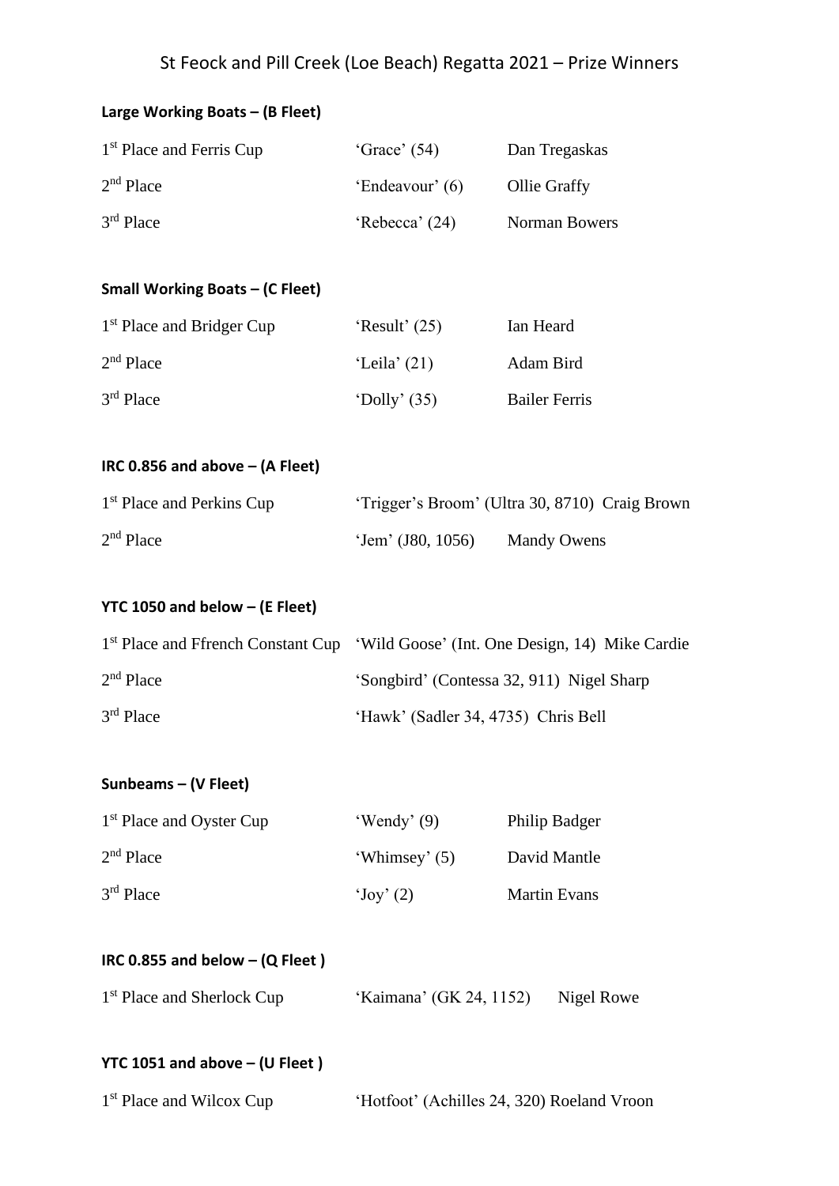# St Feock and Pill Creek (Loe Beach) Regatta 2021 – Prize Winners

| Large Working Boats - (B Fleet)                                                               |                                            |                                                |  |
|-----------------------------------------------------------------------------------------------|--------------------------------------------|------------------------------------------------|--|
| 1 <sup>st</sup> Place and Ferris Cup                                                          | 'Grace' $(54)$                             | Dan Tregaskas                                  |  |
| $2nd$ Place                                                                                   | 'Endeavour' (6)                            | Ollie Graffy                                   |  |
| 3 <sup>rd</sup> Place                                                                         | 'Rebecca' (24)                             | Norman Bowers                                  |  |
|                                                                                               |                                            |                                                |  |
| <b>Small Working Boats - (C Fleet)</b>                                                        |                                            |                                                |  |
| 1 <sup>st</sup> Place and Bridger Cup                                                         | 'Result' $(25)$                            | Ian Heard                                      |  |
| 2 <sup>nd</sup> Place                                                                         | 'Leila' $(21)$                             | Adam Bird                                      |  |
| 3 <sup>rd</sup> Place                                                                         | 'Dolly' $(35)$                             | <b>Bailer Ferris</b>                           |  |
|                                                                                               |                                            |                                                |  |
| IRC 0.856 and above $-$ (A Fleet)                                                             |                                            |                                                |  |
| 1 <sup>st</sup> Place and Perkins Cup                                                         |                                            | 'Trigger's Broom' (Ultra 30, 8710) Craig Brown |  |
| $2nd$ Place                                                                                   | 'Jem' (J80, 1056) Mandy Owens              |                                                |  |
|                                                                                               |                                            |                                                |  |
| <b>YTC 1050 and below - (E Fleet)</b>                                                         |                                            |                                                |  |
| 1 <sup>st</sup> Place and Ffrench Constant Cup 'Wild Goose' (Int. One Design, 14) Mike Cardie |                                            |                                                |  |
| $2nd$ Place                                                                                   |                                            | 'Songbird' (Contessa 32, 911) Nigel Sharp      |  |
| 3rd Place                                                                                     | 'Hawk' (Sadler 34, 4735) Chris Bell        |                                                |  |
|                                                                                               |                                            |                                                |  |
| Sunbeams - (V Fleet)                                                                          |                                            |                                                |  |
| 1 <sup>st</sup> Place and Oyster Cup                                                          | 'Wendy' $(9)$                              | Philip Badger                                  |  |
| $2nd$ Place                                                                                   | 'Whimsey' (5)                              | David Mantle                                   |  |
| $3rd$ Place                                                                                   | $\text{`Joy'}(2)$                          | <b>Martin Evans</b>                            |  |
|                                                                                               |                                            |                                                |  |
| IRC 0.855 and below $-$ (Q Fleet)                                                             |                                            |                                                |  |
| 1 <sup>st</sup> Place and Sherlock Cup                                                        | 'Kaimana' (GK 24, 1152)                    | Nigel Rowe                                     |  |
|                                                                                               |                                            |                                                |  |
| YTC 1051 and above $-$ (U Fleet)                                                              |                                            |                                                |  |
| 1 <sup>st</sup> Place and Wilcox Cup                                                          | 'Hotfoot' (Achilles 24, 320) Roeland Vroon |                                                |  |